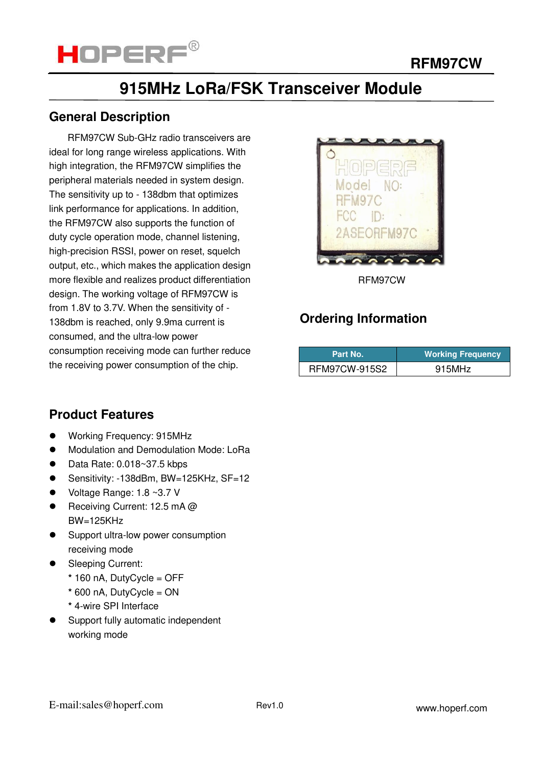

## **915MHz LoRa/FSK Transceiver Module**

## **General Description**

 RFM97CW Sub-GHz radio transceivers are ideal for long range wireless applications. With high integration, the RFM97CW simplifies the peripheral materials needed in system design. The sensitivity up to - 138dbm that optimizes link performance for applications. In addition, the RFM97CW also supports the function of duty cycle operation mode, channel listening, high-precision RSSI, power on reset, squelch output, etc., which makes the application design more flexible and realizes product differentiation design. The working voltage of RFM97CW is from 1.8V to 3.7V. When the sensitivity of - 138dbm is reached, only 9.9ma current is consumed, and the ultra-low power consumption receiving mode can further reduce the receiving power consumption of the chip.



RFM97CW

## **Ordering Information**

| Part No.      | <b>Working Frequency</b> |  |  |  |
|---------------|--------------------------|--|--|--|
| RFM97CW-915S2 | 915MHz                   |  |  |  |

## **Product Features**

- Working Frequency: 915MHz
- **•** Modulation and Demodulation Mode: LoRa
- $\bullet$  Data Rate: 0.018~37.5 kbps
- Sensitivity: -138dBm, BW=125KHz, SF=12
- Voltage Range: 1.8 ~3.7 V
- Receiving Current: 12.5 mA @ BW=125KHz
- Support ultra-low power consumption receiving mode
- Sleeping Current:
	- **\*** 160 nA, DutyCycle = OFF
	- **\*** 600 nA, DutyCycle = ON
	- **\*** 4-wire SPI Interface
- Support fully automatic independent working mode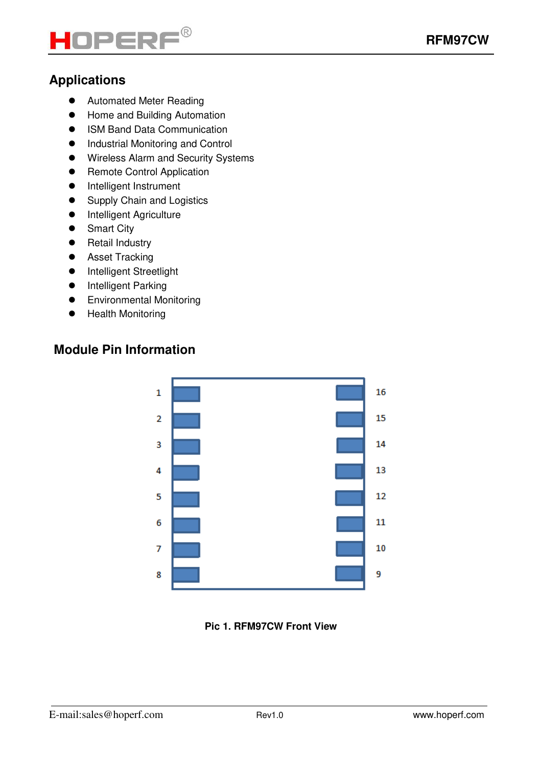

## **Applications**

- **•** Automated Meter Reading
- **•** Home and Building Automation
- ISM Band Data Communication
- $\bullet$  Industrial Monitoring and Control
- **•** Wireless Alarm and Security Systems
- **•** Remote Control Application
- **•** Intelligent Instrument
- Supply Chain and Logistics
- **•** Intelligent Agriculture
- Smart City
- **•** Retail Industry
- **•** Asset Tracking
- **•** Intelligent Streetlight
- **•** Intelligent Parking
- **•** Environmental Monitoring
- Health Monitoring

## **Module Pin Information**



**Pic 1. RFM97CW Front View**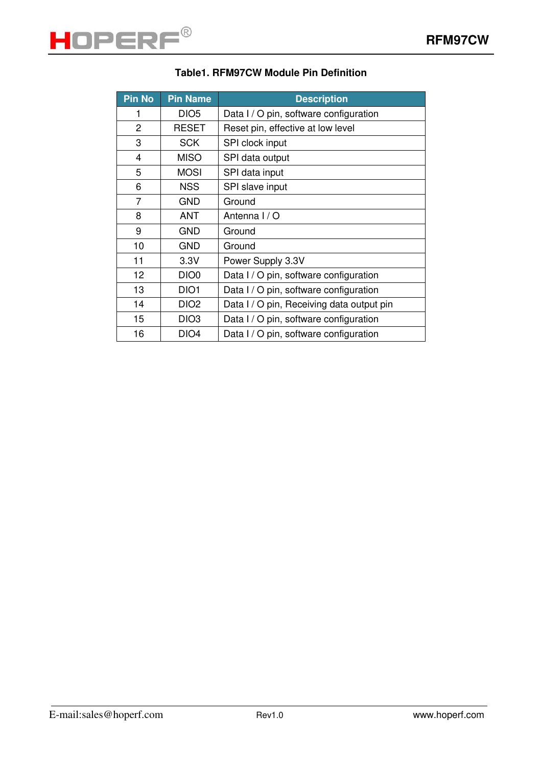#### **Table1. RFM97CW Module Pin Definition**

| <b>Pin No</b> | <b>Pin Name</b>  | <b>Description</b>                        |  |  |  |  |
|---------------|------------------|-------------------------------------------|--|--|--|--|
| 1             | DIO <sub>5</sub> | Data I / O pin, software configuration    |  |  |  |  |
| 2             | <b>RESET</b>     | Reset pin, effective at low level         |  |  |  |  |
| 3             | <b>SCK</b>       | SPI clock input                           |  |  |  |  |
| 4             | <b>MISO</b>      | SPI data output                           |  |  |  |  |
| 5             | <b>MOSI</b>      | SPI data input                            |  |  |  |  |
| 6             | <b>NSS</b>       | SPI slave input                           |  |  |  |  |
| 7             | <b>GND</b>       | Ground                                    |  |  |  |  |
| 8             | ANT              | Antenna I / O                             |  |  |  |  |
| 9             | <b>GND</b>       | Ground                                    |  |  |  |  |
| 10            | <b>GND</b>       | Ground                                    |  |  |  |  |
| 11            | 3.3V             | Power Supply 3.3V                         |  |  |  |  |
| 12            | DIO <sub>0</sub> | Data I / O pin, software configuration    |  |  |  |  |
| 13            | DIO <sub>1</sub> | Data I / O pin, software configuration    |  |  |  |  |
| 14            | DIO <sub>2</sub> | Data I / O pin, Receiving data output pin |  |  |  |  |
| 15            | DIO <sub>3</sub> | Data I / O pin, software configuration    |  |  |  |  |
| 16            | DIO <sub>4</sub> | Data I / O pin, software configuration    |  |  |  |  |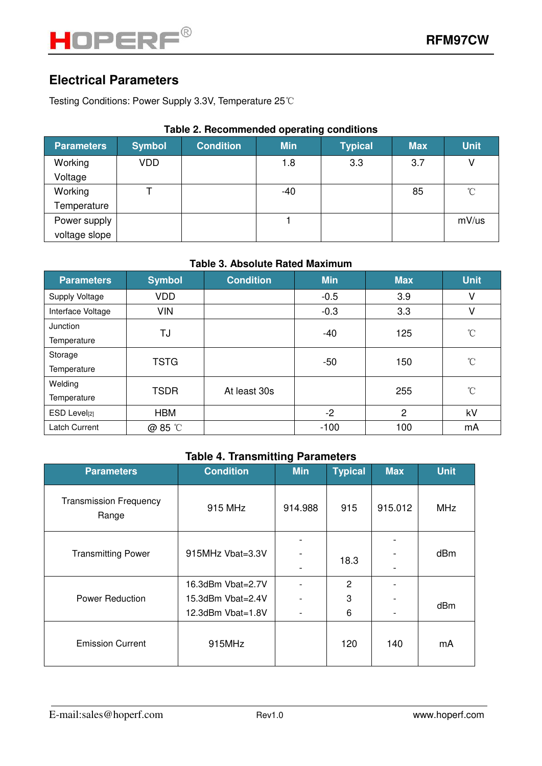## **Electrical Parameters**

Testing Conditions: Power Supply 3.3V, Temperature 25℃

#### **Table 2. Recommended operating conditions**

| <b>Parameters</b> | <b>Symbol</b> | <b>Condition</b> | <b>Min</b> | <b>Typical</b> | <b>Max</b> | <b>Unit</b>     |
|-------------------|---------------|------------------|------------|----------------|------------|-----------------|
| Working           | VDD           |                  | 1.8        | 3.3            | 3.7        |                 |
| Voltage           |               |                  |            |                |            |                 |
| Working           |               |                  | $-40$      |                | 85         | $\rm ^{\circ}C$ |
| Temperature       |               |                  |            |                |            |                 |
| Power supply      |               |                  |            |                |            | mV/us           |
| voltage slope     |               |                  |            |                |            |                 |

#### **Table 3. Absolute Rated Maximum**

| <b>Parameters</b> | <b>Symbol</b> | <b>Condition</b> | <b>Min</b> | <b>Max</b>      | <b>Unit</b>     |
|-------------------|---------------|------------------|------------|-----------------|-----------------|
| Supply Voltage    | <b>VDD</b>    |                  | $-0.5$     | 3.9             | V               |
| Interface Voltage | <b>VIN</b>    |                  | $-0.3$     | 3.3             | V               |
| Junction          | TJ            |                  | $-40$      | 125             | $\rm ^{\circ}C$ |
| Temperature       |               |                  |            |                 |                 |
| Storage           | <b>TSTG</b>   | -50              | 150        | $\rm ^{\circ}C$ |                 |
| Temperature       |               |                  |            |                 |                 |
| Welding           | <b>TSDR</b>   | At least 30s     |            | 255             | $\rm ^{\circ}C$ |
| Temperature       |               |                  |            |                 |                 |
| ESD Level[2]      | <b>HBM</b>    |                  | $-2$       | $\overline{c}$  | kV              |
| Latch Current     | @ 85 °C       |                  | $-100$     | 100             | mA              |

### **Table 4. Transmitting Parameters**

| <b>Parameters</b>                      | <b>Condition</b>  | <b>Min</b>               | <b>Typical</b> | <b>Max</b> | <b>Unit</b> |  |
|----------------------------------------|-------------------|--------------------------|----------------|------------|-------------|--|
| <b>Transmission Frequency</b><br>Range | 915 MHz           | 914.988                  | 915            | 915.012    | <b>MHz</b>  |  |
| <b>Transmitting Power</b>              | 915MHz Vbat=3.3V  |                          |                |            |             |  |
|                                        |                   | $\overline{\phantom{a}}$ | 18.3           |            | dBm         |  |
|                                        |                   | -                        |                |            |             |  |
| <b>Power Reduction</b>                 | 16.3dBm Vbat=2.7V |                          | 2              |            |             |  |
|                                        | 15.3dBm Vbat=2.4V |                          | 3              |            | dBm         |  |
|                                        | 12.3dBm Vbat=1.8V | -                        | 6              |            |             |  |
| <b>Emission Current</b>                | 915MHz            |                          | 120            | 140        | mA          |  |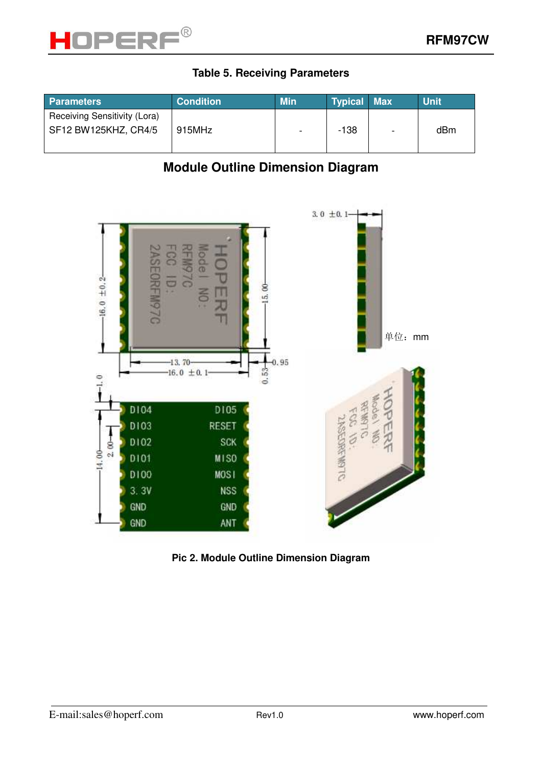

#### **Table 5. Receiving Parameters**

| <b>Parameters</b>            | <b>Condition</b> | <b>Min</b>     | <b>Typical Max</b> |                          | <b>Unit</b> |
|------------------------------|------------------|----------------|--------------------|--------------------------|-------------|
| Receiving Sensitivity (Lora) |                  |                |                    |                          |             |
| SF12 BW125KHZ, CR4/5         | 915MHz           | $\blacksquare$ | -138               | $\overline{\phantom{0}}$ | dBm         |
|                              |                  |                |                    |                          |             |

## **Module Outline Dimension Diagram**



**Pic 2. Module Outline Dimension Diagram**